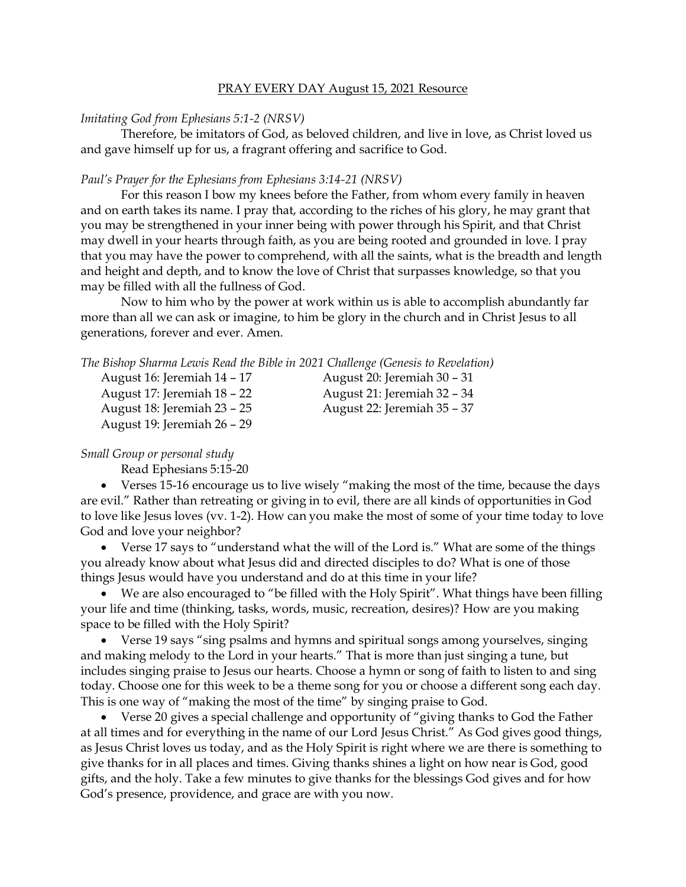### PRAY EVERY DAY August 15, 2021 Resource

#### *Imitating God from Ephesians 5:1-2 (NRSV)*

Therefore, be imitators of God, as beloved children, and live in love, as Christ loved us and gave himself up for us, a fragrant offering and sacrifice to God.

### *Paul's Prayer for the Ephesians from Ephesians 3:14-21 (NRSV)*

For this reason I bow my knees before the Father, from whom every family in heaven and on earth takes its name. I pray that, according to the riches of his glory, he may grant that you may be strengthened in your inner being with power through his Spirit, and that Christ may dwell in your hearts through faith, as you are being rooted and grounded in love. I pray that you may have the power to comprehend, with all the saints, what is the breadth and length and height and depth, and to know the love of Christ that surpasses knowledge, so that you may be filled with all the fullness of God.

Now to him who by the power at work within us is able to accomplish abundantly far more than all we can ask or imagine, to him be glory in the church and in Christ Jesus to all generations, forever and ever. Amen.

*The Bishop Sharma Lewis Read the Bible in 2021 Challenge (Genesis to Revelation)*

| August 16: Jeremiah 14 - 17 |
|-----------------------------|
| August 17: Jeremiah 18 - 22 |
| August 18: Jeremiah 23 - 25 |
| August 19: Jeremiah 26 - 29 |

August 20: Jeremiah 30 – 31 August 21: Jeremiah 32 – 34 August 22: Jeremiah 35 – 37

*Small Group or personal study*

Read Ephesians 5:15-20

• Verses 15-16 encourage us to live wisely "making the most of the time, because the days are evil." Rather than retreating or giving in to evil, there are all kinds of opportunities in God to love like Jesus loves (vv. 1-2). How can you make the most of some of your time today to love God and love your neighbor?

• Verse 17 says to "understand what the will of the Lord is." What are some of the things you already know about what Jesus did and directed disciples to do? What is one of those things Jesus would have you understand and do at this time in your life?

• We are also encouraged to "be filled with the Holy Spirit". What things have been filling your life and time (thinking, tasks, words, music, recreation, desires)? How are you making space to be filled with the Holy Spirit?

• Verse 19 says "sing psalms and hymns and spiritual songs among yourselves, singing and making melody to the Lord in your hearts." That is more than just singing a tune, but includes singing praise to Jesus our hearts. Choose a hymn or song of faith to listen to and sing today. Choose one for this week to be a theme song for you or choose a different song each day. This is one way of "making the most of the time" by singing praise to God.

• Verse 20 gives a special challenge and opportunity of "giving thanks to God the Father" at all times and for everything in the name of our Lord Jesus Christ." As God gives good things, as Jesus Christ loves us today, and as the Holy Spirit is right where we are there is something to give thanks for in all places and times. Giving thanks shines a light on how near is God, good gifts, and the holy. Take a few minutes to give thanks for the blessings God gives and for how God's presence, providence, and grace are with you now.